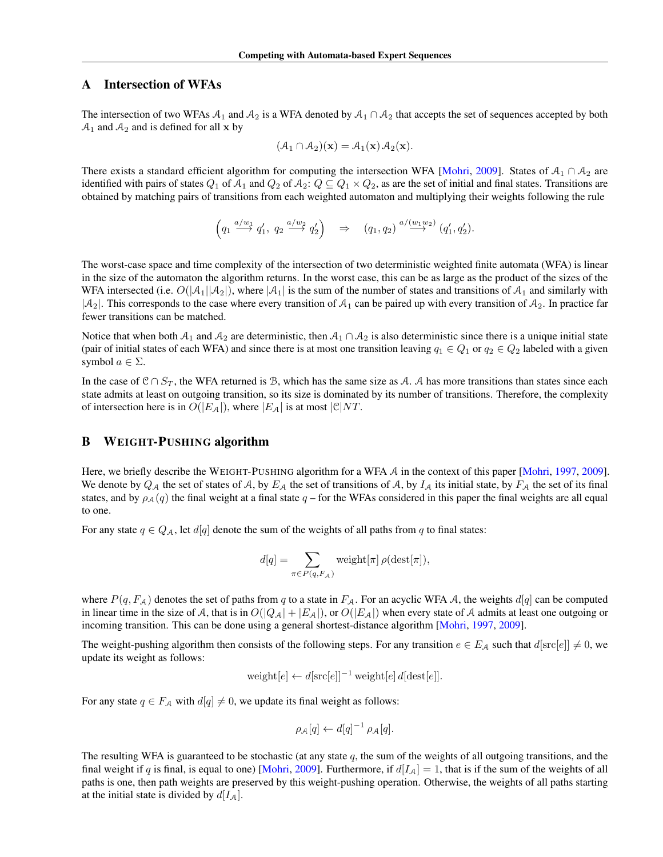# A Intersection of WFAs

The intersection of two WFAs  $A_1$  and  $A_2$  is a WFA denoted by  $A_1 \cap A_2$  that accepts the set of sequences accepted by both  $A_1$  and  $A_2$  and is defined for all x by

$$
(\mathcal{A}_1 \cap \mathcal{A}_2)(\mathbf{x}) = \mathcal{A}_1(\mathbf{x}) \mathcal{A}_2(\mathbf{x}).
$$

There exists a standard efficient algorithm for computing the intersection WFA [Mohri, 2009]. States of  $A_1 \cap A_2$  are identified with pairs of states  $Q_1$  of  $A_1$  and  $Q_2$  of  $A_2$ :  $Q \subseteq Q_1 \times Q_2$ , as are the set of initial and final states. Transitions are obtained by matching pairs of transitions from each weighted automaton and multiplying their weights following the rule

$$
\left(q_1 \stackrel{a/w_1}{\longrightarrow} q_1', q_2 \stackrel{a/w_2}{\longrightarrow} q_2'\right) \quad \Rightarrow \quad (q_1, q_2) \stackrel{a/(w_1w_2)}{\longrightarrow} (q_1', q_2').
$$

The worst-case space and time complexity of the intersection of two deterministic weighted finite automata (WFA) is linear in the size of the automaton the algorithm returns. In the worst case, this can be as large as the product of the sizes of the WFA intersected (i.e.  $O(|A_1||A_2|)$ , where  $|A_1|$  is the sum of the number of states and transitions of  $A_1$  and similarly with  $|A_2|$ . This corresponds to the case where every transition of  $A_1$  can be paired up with every transition of  $A_2$ . In practice far fewer transitions can be matched.

Notice that when both  $A_1$  and  $A_2$  are deterministic, then  $A_1 \cap A_2$  is also deterministic since there is a unique initial state (pair of initial states of each WFA) and since there is at most one transition leaving  $q_1 \in Q_1$  or  $q_2 \in Q_2$  labeled with a given symbol  $a \in \Sigma$ .

In the case of  $C \cap S_T$ , the WFA returned is B, which has the same size as A. A has more transitions than states since each state admits at least on outgoing transition, so its size is dominated by its number of transitions. Therefore, the complexity of intersection here is in  $O(|E_{\mathcal{A}}|)$ , where  $|E_{\mathcal{A}}|$  is at most  $|\mathcal{C}|NT$ .

### B WEIGHT-PUSHING algorithm

Here, we briefly describe the WEIGHT-PUSHING algorithm for a WFA A in the context of this paper [Mohri, 1997, 2009]. We denote by  $Q_A$  the set of states of A, by  $E_A$  the set of transitions of A, by  $I_A$  its initial state, by  $F_A$  the set of its final states, and by  $\rho_A(q)$  the final weight at a final state q – for the WFAs considered in this paper the final weights are all equal to one.

For any state  $q \in Q_A$ , let  $d[q]$  denote the sum of the weights of all paths from q to final states:

$$
d[q] = \sum_{\pi \in P(q, F_{\mathcal{A}})} \text{weight}[\pi] \rho(\text{dest}[\pi]),
$$

where  $P(q, F_A)$  denotes the set of paths from q to a state in  $F_A$ . For an acyclic WFA A, the weights  $d[q]$  can be computed in linear time in the size of A, that is in  $O(|Q_A| + |E_A|)$ , or  $O(|E_A|)$  when every state of A admits at least one outgoing or incoming transition. This can be done using a general shortest-distance algorithm [Mohri, 1997, 2009].

The weight-pushing algorithm then consists of the following steps. For any transition  $e \in E_A$  such that  $d[\text{src}[e]] \neq 0$ , we update its weight as follows:

$$
weight[e] \leftarrow d[src[e]]^{-1} weight[e] d[dest[e]].
$$

For any state  $q \in F_A$  with  $d[q] \neq 0$ , we update its final weight as follows:

$$
\rho_{\mathcal{A}}[q] \leftarrow d[q]^{-1} \rho_{\mathcal{A}}[q].
$$

The resulting WFA is guaranteed to be stochastic (at any state  $q$ , the sum of the weights of all outgoing transitions, and the final weight if q is final, is equal to one) [Mohri, 2009]. Furthermore, if  $d[I_A] = 1$ , that is if the sum of the weights of all paths is one, then path weights are preserved by this weight-pushing operation. Otherwise, the weights of all paths starting at the initial state is divided by  $d[I_A]$ .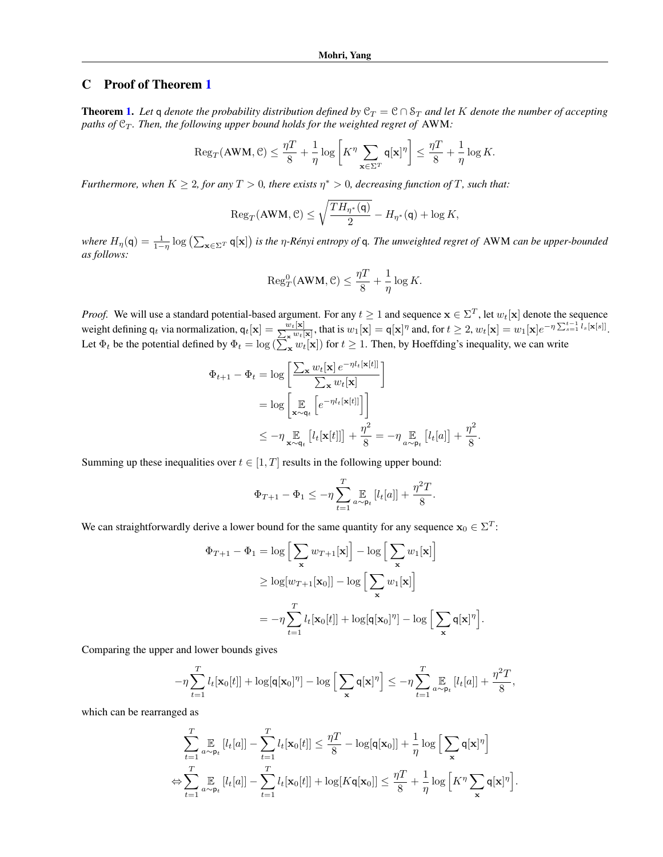# C Proof of Theorem 1

**Theorem 1.** Let q denote the probability distribution defined by  $\mathcal{C}_T = \mathcal{C} \cap \mathcal{S}_T$  and let K denote the number of accepting *paths of*  $C_T$ *. Then, the following upper bound holds for the weighted regret of AWM:* 

$$
\mathrm{Reg}_{T}(\mathrm{AWM}, \mathcal{C}) \leq \frac{\eta T}{8} + \frac{1}{\eta} \log \left[ K^{\eta} \sum_{\mathbf{x} \in \Sigma^{T}} \mathbf{q}[\mathbf{x}]^{\eta} \right] \leq \frac{\eta T}{8} + \frac{1}{\eta} \log K.
$$

*Furthermore, when*  $K \geq 2$ *, for any*  $T > 0$ *, there exists*  $\eta^* > 0$ *, decreasing function of*  $T$ *, such that:* 

$$
\mathrm{Reg}_T(\mathrm{AWM},\mathcal{C}) \leq \sqrt{\frac{TH_{\eta^*}(\mathsf{q})}{2}} - H_{\eta^*}(\mathsf{q}) + \log K,
$$

*where*  $H_{\eta}(\mathsf{q}) = \frac{1}{1-\eta} \log \left( \sum_{\mathbf{x} \in \Sigma^{T}} \mathsf{q}[\mathbf{x}] \right)$  is the  $\eta$ -Rényi entropy of  $\mathsf{q}$ . The unweighted regret of AWM can be upper-bounded *as follows:*

$$
\mathrm{Reg}_T^0(\mathrm{AWM}, \mathcal{C}) \leq \frac{\eta T}{8} + \frac{1}{\eta} \log K.
$$

*Proof.* We will use a standard potential-based argument. For any  $t \ge 1$  and sequence  $\mathbf{x} \in \Sigma^{T}$ , let  $w_t[\mathbf{x}]$  denote the sequence weight defining  $q_t$  via normalization,  $q_t[\mathbf{x}] = \frac{w_t[\mathbf{x}]}{\sum_{\mathbf{x}} w_t[\mathbf{x}]}$ , that is  $w_1[\mathbf{x}] = q[\mathbf{x}]^{\eta}$  and, for  $t \geq 2$ ,  $w_t[\mathbf{x}] = w_1[\mathbf{x}]e^{-\eta \sum_{s=1}^{t-1} l_s[\mathbf{x}[s]]}$ . Let  $\Phi_t$  be the potential defined by  $\Phi_t = \log\left(\sum_{\mathbf{x}}^{\infty} w_t[\mathbf{x}]\right)$  for  $t \geq 1$ . Then, by Hoeffding's inequality, we can write

$$
\Phi_{t+1} - \Phi_t = \log \left[ \frac{\sum_{\mathbf{x}} w_t[\mathbf{x}] e^{-\eta l_t[\mathbf{x}[t]]}}{\sum_{\mathbf{x}} w_t[\mathbf{x}]} \right]
$$
  
\n
$$
= \log \left[ \mathbb{E}_{\mathbf{x} \sim \mathbf{q}_t} \left[ e^{-\eta l_t[\mathbf{x}[t]]} \right] \right]
$$
  
\n
$$
\leq -\eta \mathbb{E}_{\mathbf{x} \sim \mathbf{q}_t} \left[ l_t[\mathbf{x}[t]] \right] + \frac{\eta^2}{8} = -\eta \mathbb{E}_{\mathbf{q} \sim \mathbf{p}_t} \left[ l_t[a] \right] + \frac{\eta^2}{8}.
$$

Summing up these inequalities over  $t \in [1, T]$  results in the following upper bound:

$$
\Phi_{T+1} - \Phi_1 \leq -\eta \sum_{t=1}^T \mathbb{E}_{a \sim p_t} [l_t[a]] + \frac{\eta^2 T}{8}.
$$

We can straightforwardly derive a lower bound for the same quantity for any sequence  $x_0 \in \Sigma^T$ :

$$
\Phi_{T+1} - \Phi_1 = \log \Big[ \sum_{\mathbf{x}} w_{T+1}[\mathbf{x}] \Big] - \log \Big[ \sum_{\mathbf{x}} w_1[\mathbf{x}] \Big]
$$
  
\n
$$
\geq \log[w_{T+1}[\mathbf{x}_0]] - \log \Big[ \sum_{\mathbf{x}} w_1[\mathbf{x}] \Big]
$$
  
\n
$$
= -\eta \sum_{t=1}^T l_t[\mathbf{x}_0[t]] + \log[\mathsf{q}[\mathbf{x}_0]^{\eta}] - \log \Big[ \sum_{\mathbf{x}} \mathsf{q}[\mathbf{x}]^{\eta} \Big].
$$

Comparing the upper and lower bounds gives

$$
-\eta \sum_{t=1}^T l_t[\mathbf{x}_0[t]] + \log[\mathbf{q}[\mathbf{x}_0]^\eta] - \log\Big[\sum_{\mathbf{x}} \mathbf{q}[\mathbf{x}]^\eta\Big] \le -\eta \sum_{t=1}^T \mathop{\mathbb{E}}_{a \sim \mathbf{p}_t} [l_t[a]] + \frac{\eta^2 T}{8},
$$

which can be rearranged as

$$
\sum_{t=1}^T \mathop{\mathbb{E}}_{a \sim p_t} [l_t[a]] - \sum_{t=1}^T l_t[\mathbf{x}_0[t]] \le \frac{\eta T}{8} - \log[\mathsf{q}[\mathbf{x}_0]] + \frac{1}{\eta} \log \Big[ \sum_{\mathbf{x}} \mathsf{q}[\mathbf{x}]^{\eta} \Big]
$$

$$
\Leftrightarrow \sum_{t=1}^T \mathop{\mathbb{E}}_{a \sim p_t} [l_t[a]] - \sum_{t=1}^T l_t[\mathbf{x}_0[t]] + \log[K\mathsf{q}[\mathbf{x}_0]] \le \frac{\eta T}{8} + \frac{1}{\eta} \log \Big[ K^{\eta} \sum_{\mathbf{x}} \mathsf{q}[\mathbf{x}]^{\eta} \Big].
$$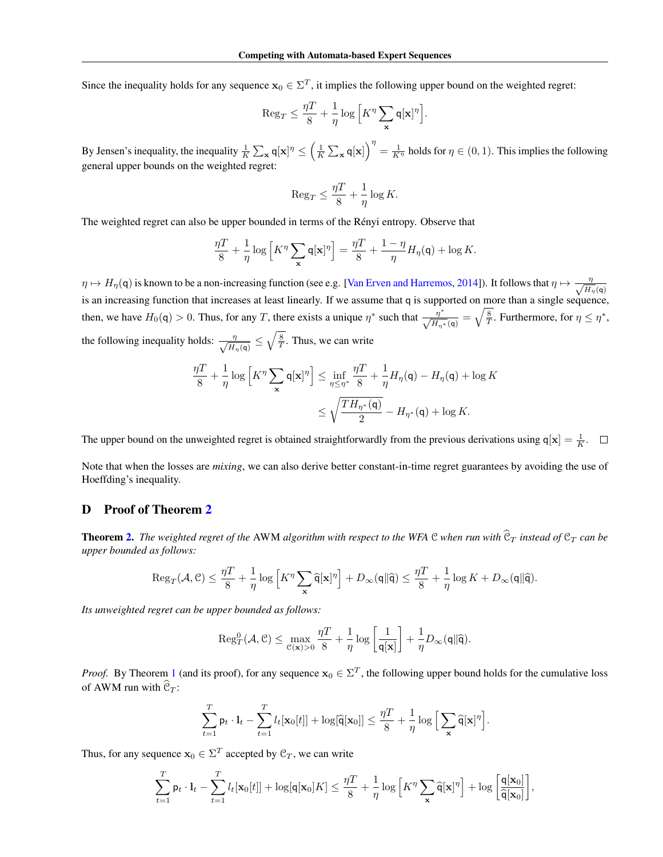Since the inequality holds for any sequence  $x_0 \in \Sigma^T$ , it implies the following upper bound on the weighted regret:

$$
\mathrm{Reg}_T \leq \frac{\eta T}{8} + \frac{1}{\eta} \log \left[ K^{\eta} \sum_{\mathbf{x}} \mathbf{q}[\mathbf{x}]^{\eta} \right].
$$

By Jensen's inequality, the inequality  $\frac{1}{K} \sum_{\mathbf{x}} q[\mathbf{x}]^\eta \le \left(\frac{1}{K} \sum_{\mathbf{x}} q[\mathbf{x}]\right)^\eta = \frac{1}{K^\eta}$  holds for  $\eta \in (0, 1)$ . This implies the following general upper bounds on the weighted regret:

$$
\operatorname{Reg}_T \le \frac{\eta T}{8} + \frac{1}{\eta} \log K.
$$

The weighted regret can also be upper bounded in terms of the Rényi entropy. Observe that

$$
\frac{\eta T}{8} + \frac{1}{\eta} \log \left[ K^{\eta} \sum_{\mathbf{x}} \mathbf{q}[\mathbf{x}]^{\eta} \right] = \frac{\eta T}{8} + \frac{1 - \eta}{\eta} H_{\eta}(\mathbf{q}) + \log K.
$$

 $\eta \mapsto H_\eta(\mathsf{q})$  is known to be a non-increasing function (see e.g. [Van Erven and Harremos, 2014]). It follows that  $\eta \mapsto \frac{\eta}{\sqrt{H_s}}$  $H_{\eta}(\mathsf{q})$ is an increasing function that increases at least linearly. If we assume that q is supported on more than a single sequence, then, we have  $H_0(q) > 0$ . Thus, for any T, there exists a unique  $\eta^*$  such that  $\frac{\eta^*}{\sqrt{H_{\eta^*}(q)}} = \sqrt{\frac{8}{T}}$ . Furthermore, for  $\eta \le \eta^*$ , the following inequality holds:  $\frac{\eta}{\sqrt{H_{\eta}(q)}} \leq$  $\sqrt{\frac{8}{T}}$ . Thus, we can write

$$
\frac{\eta T}{8} + \frac{1}{\eta} \log \left[ K^{\eta} \sum_{\mathbf{x}} \mathsf{q}[\mathbf{x}]^{\eta} \right] \le \inf_{\eta \le \eta^*} \frac{\eta T}{8} + \frac{1}{\eta} H_{\eta}(\mathsf{q}) - H_{\eta}(\mathsf{q}) + \log K
$$

$$
\le \sqrt{\frac{T H_{\eta^*}(\mathsf{q})}{2}} - H_{\eta^*}(\mathsf{q}) + \log K.
$$

The upper bound on the unweighted regret is obtained straightforwardly from the previous derivations using  $q[x] = \frac{1}{K}$ .

Note that when the losses are *mixing*, we can also derive better constant-in-time regret guarantees by avoiding the use of Hoeffding's inequality.

## D Proof of Theorem 2

**Theorem 2.** The weighted regret of the AWM algorithm with respect to the WFA C when run with  $\hat{e}_T$  instead of  $C_T$  can be *upper bounded as follows:*

$$
\mathrm{Reg}_{T}(\mathcal{A}, \mathcal{C}) \leq \frac{\eta T}{8} + \frac{1}{\eta} \log \left[ K^{\eta} \sum_{\mathbf{x}} \widehat{\mathsf{q}}[\mathbf{x}]^{\eta} \right] + D_{\infty}(\mathsf{q} \| \widehat{\mathsf{q}}) \leq \frac{\eta T}{8} + \frac{1}{\eta} \log K + D_{\infty}(\mathsf{q} \| \widehat{\mathsf{q}}).
$$

*Its unweighted regret can be upper bounded as follows:*

$$
\mathrm{Reg}_T^0(\mathcal{A},\mathcal{C})\leq \max_{\mathcal{C}(\mathbf{x})>0}\frac{\eta T}{8}+\frac{1}{\eta}\log\left[\frac{1}{\mathsf{q}[\mathbf{x}]}\right]+\frac{1}{\eta}D_\infty(\mathsf{q}\|\widehat{\mathsf{q}}).
$$

*Proof.* By Theorem 1 (and its proof), for any sequence  $x_0 \in \Sigma^T$ , the following upper bound holds for the cumulative loss of AWM run with  $\hat{\mathcal{C}}_T$ :

$$
\sum_{t=1}^T \mathsf{p}_t \cdot \mathbf{l}_t - \sum_{t=1}^T l_t[\mathbf{x}_0[t]] + \log[\widehat{\mathsf{q}}[\mathbf{x}_0]] \le \frac{\eta T}{8} + \frac{1}{\eta} \log \Big[ \sum_{\mathbf{x}} \widehat{\mathsf{q}}[\mathbf{x}]^{\eta} \Big].
$$

Thus, for any sequence  $x_0 \in \Sigma^T$  accepted by  $\mathcal{C}_T$ , we can write

$$
\sum_{t=1}^T \mathsf{p}_t \cdot \mathbf{l}_t - \sum_{t=1}^T l_t[\mathbf{x}_0[t]] + \log[\mathsf{q}[\mathbf{x}_0]K] \leq \frac{\eta T}{8} + \frac{1}{\eta} \log \left[ K^{\eta} \sum_{\mathbf{x}} \widehat{\mathsf{q}}[\mathbf{x}]^{\eta} \right] + \log \left[ \frac{\mathsf{q}[\mathbf{x}_0]}{\widehat{\mathsf{q}}[\mathbf{x}_0]} \right],
$$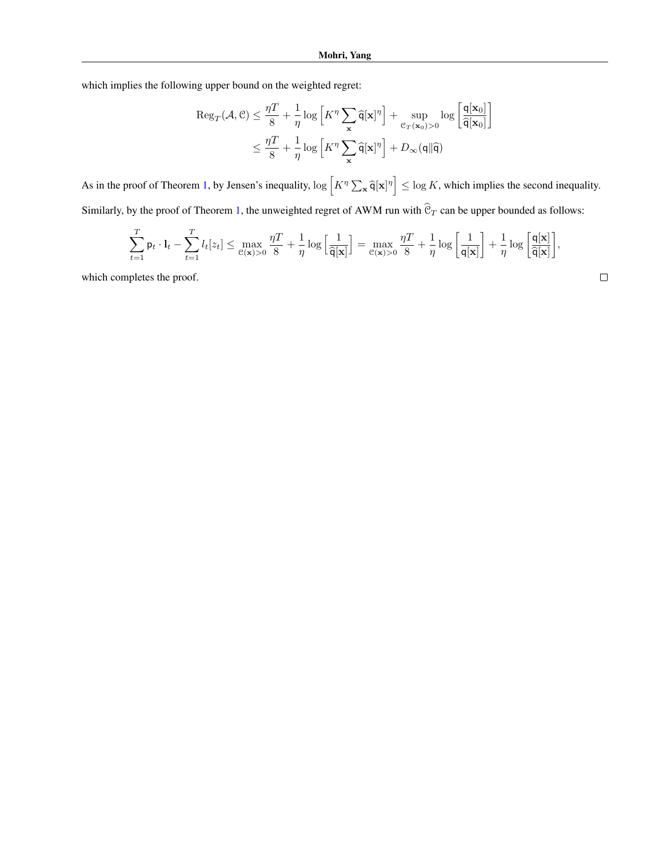which implies the following upper bound on the weighted regret:

$$
\begin{aligned} \text{Reg}_{T}(\mathcal{A}, \mathcal{C}) &\leq \frac{\eta T}{8} + \frac{1}{\eta} \log \left[ K^{\eta} \sum_{\mathbf{x}} \widehat{\mathbf{q}}[\mathbf{x}]^{\eta} \right] + \sup_{\mathcal{C}_{T}(\mathbf{x}_{0}) > 0} \log \left[ \frac{\mathbf{q}[\mathbf{x}_{0}]}{\widehat{\mathbf{q}}[\mathbf{x}_{0}]} \right] \\ &\leq \frac{\eta T}{8} + \frac{1}{\eta} \log \left[ K^{\eta} \sum_{\mathbf{x}} \widehat{\mathbf{q}}[\mathbf{x}]^{\eta} \right] + D_{\infty}(\mathbf{q} \|\widehat{\mathbf{q}}) \end{aligned}
$$

As in the proof of Theorem 1, by Jensen's inequality,  $\log(K^\eta \sum_{\mathbf{x}} \widehat{\mathsf{q}}[\mathbf{x}]^\eta \right] \le \log K$ , which implies the second inequality. Similarly, by the proof of Theorem 1, the unweighted regret of AWM run with  $\widehat{\mathcal{C}}_T$  can be upper bounded as follows:

$$
\sum_{t=1}^T \mathsf{p}_t \cdot \mathbf{l}_t - \sum_{t=1}^T l_t[z_t] \leq \max_{\mathcal{C}(\mathbf{x}) > 0} \frac{\eta T}{8} + \frac{1}{\eta} \log \Big[\frac{1}{\widehat{\mathsf{q}}[\mathbf{x}]}\Big] = \max_{\mathcal{C}(\mathbf{x}) > 0} \frac{\eta T}{8} + \frac{1}{\eta} \log \Big[\frac{1}{\mathsf{q}[\mathbf{x}]}\Big] + \frac{1}{\eta} \log \Big[\frac{\mathsf{q}[\mathbf{x}]}{\widehat{\mathsf{q}}[\mathbf{x}]}\Big],
$$

which completes the proof.

 $\Box$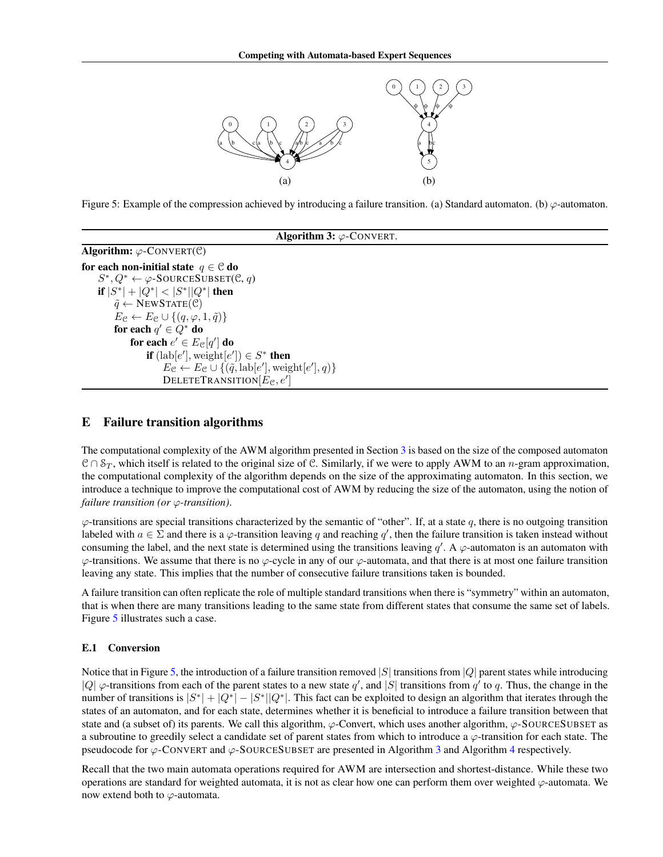

Figure 5: Example of the compression achieved by introducing a failure transition. (a) Standard automaton. (b)  $\varphi$ -automaton.

Algorithm 3:  $\varphi$ -CONVERT. Algorithm:  $\varphi$ -CONVERT(C) for each non-initial state  $q \in \mathcal{C}$  do  $S^*, Q^* \leftarrow \varphi\text{-}SourseSUBSET}(\mathcal{C}, q)$ if  $|S^*| + |Q^*| < |S^*||Q^*|$  then  $\tilde{q} \leftarrow \text{NEWSTATE}(\mathcal{C})$  $E_{\mathcal{C}} \leftarrow E_{\mathcal{C}} \cup \{(q, \varphi, 1, \tilde{q})\}$ for each  $q' \in Q^*$  do for each  $e' \in E_{\mathfrak{C}}[q']$  do **if**  $(\text{lab}[e'], \text{weight}[e']) \in S^*$  then  $E_{\mathcal{C}} \leftarrow E_{\mathcal{C}} \cup \{(\tilde{q}, \text{lab}[e'], \text{weight}[e'], q)\}\$ DELETETRANSITION $[E_{\mathfrak{C}},e']$ 

## E Failure transition algorithms

The computational complexity of the AWM algorithm presented in Section 3 is based on the size of the composed automaton  $\mathcal{C} \cap \mathcal{S}_T$ , which itself is related to the original size of  $\mathcal{C}$ . Similarly, if we were to apply AWM to an *n*-gram approximation, the computational complexity of the algorithm depends on the size of the approximating automaton. In this section, we introduce a technique to improve the computational cost of AWM by reducing the size of the automaton, using the notion of *failure transition (or* ϕ*-transition)*.

 $\varphi$ -transitions are special transitions characterized by the semantic of "other". If, at a state q, there is no outgoing transition labeled with  $a \in \Sigma$  and there is a  $\varphi$ -transition leaving q and reaching q', then the failure transition is taken instead without consuming the label, and the next state is determined using the transitions leaving  $q'$ . A  $\varphi$ -automaton is an automaton with  $\varphi$ -transitions. We assume that there is no  $\varphi$ -cycle in any of our  $\varphi$ -automata, and that there is at most one failure transition leaving any state. This implies that the number of consecutive failure transitions taken is bounded.

A failure transition can often replicate the role of multiple standard transitions when there is "symmetry" within an automaton, that is when there are many transitions leading to the same state from different states that consume the same set of labels. Figure 5 illustrates such a case.

#### E.1 Conversion

Notice that in Figure 5, the introduction of a failure transition removed  $|S|$  transitions from  $|Q|$  parent states while introducing |Q|  $\varphi$ -transitions from each of the parent states to a new state q', and |S| transitions from q' to q. Thus, the change in the number of transitions is  $|S^*| + |Q^*| - |S^*||Q^*|$ . This fact can be exploited to design an algorithm that iterates through the states of an automaton, and for each state, determines whether it is beneficial to introduce a failure transition between that state and (a subset of) its parents. We call this algorithm,  $\varphi$ -Convert, which uses another algorithm,  $\varphi$ -SOURCESUBSET as a subroutine to greedily select a candidate set of parent states from which to introduce a  $\varphi$ -transition for each state. The pseudocode for  $\varphi$ -CONVERT and  $\varphi$ -SOURCESUBSET are presented in Algorithm 3 and Algorithm 4 respectively.

Recall that the two main automata operations required for AWM are intersection and shortest-distance. While these two operations are standard for weighted automata, it is not as clear how one can perform them over weighted  $\varphi$ -automata. We now extend both to  $\varphi$ -automata.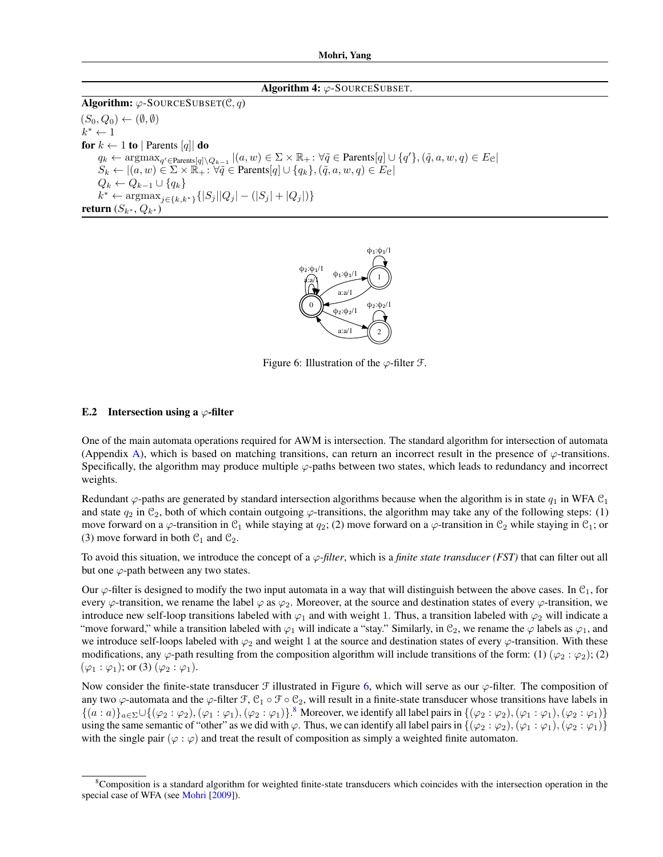Algorithm:  $\varphi$ -SOURCESUBSET( $\mathcal{C}, q$ )  $(S_0, Q_0) \leftarrow (\emptyset, \emptyset)$  $k^* \leftarrow 1$ for  $k \leftarrow 1$  to | Parents [q]| do  $q_k \leftarrow \operatorname{argmax}_{q' \in \text{Parents}[q] \setminus Q_{k-1}} |(a, w) \in \Sigma \times \mathbb{R}_+ : \forall \tilde{q} \in \text{Parents}[q] \cup \{q'\}, (\tilde{q}, a, w, q) \in E_{\mathcal{C}}|$  $S_k \leftarrow |(a, w) \in \Sigma \times \mathbb{R}_+ : \forall \tilde{q} \in \text{Parents}[q] \cup \{q_k\}, (\tilde{q}, a, w, q) \in E_{\mathcal{C}}|$  $Q_k \leftarrow Q_{k-1} \cup \{q_k\}$  $k^* \leftarrow \mathop{\rm argmax}_{j \in \{k, k^*\}} \{ |S_j| |Q_j| - (|S_j| + |Q_j|) \}$ return  $(S_{k^*}, Q_{k^*})$ 



Figure 6: Illustration of the  $\varphi$ -filter  $\varphi$ .

#### E.2 Intersection using a  $\varphi$ -filter

One of the main automata operations required for AWM is intersection. The standard algorithm for intersection of automata (Appendix A), which is based on matching transitions, can return an incorrect result in the presence of  $\varphi$ -transitions. Specifically, the algorithm may produce multiple  $\varphi$ -paths between two states, which leads to redundancy and incorrect weights.

Redundant  $\varphi$ -paths are generated by standard intersection algorithms because when the algorithm is in state  $q_1$  in WFA  $\mathcal{C}_1$ and state  $q_2$  in  $\mathcal{C}_2$ , both of which contain outgoing  $\varphi$ -transitions, the algorithm may take any of the following steps: (1) move forward on a  $\varphi$ -transition in  $\mathcal{C}_1$  while staying at  $q_2$ ; (2) move forward on a  $\varphi$ -transition in  $\mathcal{C}_2$  while staying in  $\mathcal{C}_1$ ; or (3) move forward in both  $\mathcal{C}_1$  and  $\mathcal{C}_2$ .

To avoid this situation, we introduce the concept of a ϕ*-filter*, which is a *finite state transducer (FST)* that can filter out all but one  $\varphi$ -path between any two states.

Our  $\varphi$ -filter is designed to modify the two input automata in a way that will distinguish between the above cases. In  $\mathcal{C}_1$ , for every  $\varphi$ -transition, we rename the label  $\varphi$  as  $\varphi_2$ . Moreover, at the source and destination states of every  $\varphi$ -transition, we introduce new self-loop transitions labeled with  $\varphi_1$  and with weight 1. Thus, a transition labeled with  $\varphi_2$  will indicate a "move forward," while a transition labeled with  $\varphi_1$  will indicate a "stay." Similarly, in  $\mathfrak{C}_2$ , we rename the  $\varphi$  labels as  $\varphi_1$ , and we introduce self-loops labeled with  $\varphi_2$  and weight 1 at the source and destination states of every  $\varphi$ -transition. With these modifications, any  $\varphi$ -path resulting from the composition algorithm will include transitions of the form: (1)  $(\varphi_2 : \varphi_2)$ ; (2)  $(\varphi_1 : \varphi_1)$ ; or (3)  $(\varphi_2 : \varphi_1)$ .

Now consider the finite-state transducer  $\mathcal F$  illustrated in Figure 6, which will serve as our  $\varphi$ -filter. The composition of any two  $\varphi$ -automata and the  $\varphi$ -filter  $\mathcal{F}, \mathcal{C}_1 \circ \mathcal{F} \circ \mathcal{C}_2$ , will result in a finite-state transducer whose transitions have labels in  $\{(a : a)\}_{a\in\Sigma}\cup\{(\varphi_2:\varphi_2),(\varphi_1:\varphi_1),(\varphi_2:\varphi_1)\}$ .<sup>8</sup> Moreover, we identify all label pairs in  $\{(\varphi_2:\varphi_2),(\varphi_1:\varphi_1),(\varphi_2:\varphi_1)\}$ using the same semantic of "other" as we did with  $\varphi$ . Thus, we can identify all label pairs in  $\{(\varphi_2 : \varphi_2), (\varphi_1 : \varphi_1), (\varphi_2 : \varphi_1)\}$ with the single pair ( $\varphi$  :  $\varphi$ ) and treat the result of composition as simply a weighted finite automaton.

<sup>&</sup>lt;sup>8</sup>Composition is a standard algorithm for weighted finite-state transducers which coincides with the intersection operation in the special case of WFA (see Mohri [2009]).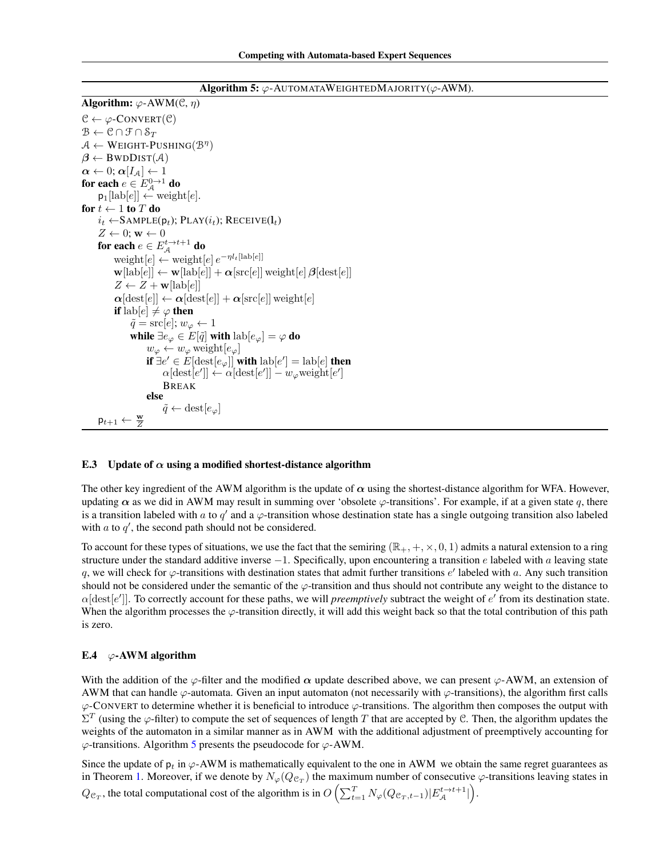Algorithm 5:  $\varphi$ -AUTOMATAWEIGHTEDMAJORITY( $\varphi$ -AWM).

```
Algorithm: \varphi-AWM(\mathcal{C}, \eta)
\mathcal{C} \leftarrow \varphi\text{-CONVERT}(\mathcal{C})B \leftarrow C \cap \mathcal{F} \cap \mathcal{S}_TA \leftarrow \text{WEIGHT-PUSHING}(\mathcal{B}^{\eta})\beta \leftarrow \text{BWDDIST}(\mathcal{A})\alpha \leftarrow 0; \alpha[I_{\mathcal{A}}] \leftarrow 1for each e \in E_{\mathcal{A}}^{0 \rightarrow 1} do
       p_1[\text{lab}[e]] \leftarrow \text{weight}[e].for t \leftarrow 1 to T do
       i_t \leftarrowSAMPLE(p_t); PLAY(i_t); RECEIVE(l_t)
       Z \leftarrow 0; \mathbf{w} \leftarrow 0for each e \in E_{\mathcal{A}}^{t \to t+1} do
               \text{weight}[e] \gets \text{weight}[e] \, e^{-\eta l_t [\text{lab}[e]]}\mathbf{w}[\text{lab}[e]] \leftarrow \mathbf{w}[\text{lab}[e]] + \alpha[\text{src}[e]] \text{ weight}[e] \beta[\text{dest}[e]]Z \leftarrow Z + \mathbf{w}[\text{lab}[e]]\alpha[\text{dest}[e]] \leftarrow \alpha[\text{dest}[e]] + \alpha[\text{src}[e]] weight[e]if lab[e] \neq \varphi then
                       \tilde{q} = \operatorname{src}[e]; w_{\varphi} \leftarrow 1while \exists e_{\varphi} \in E[\tilde{q}] with \text{lab}[e_{\varphi}] = \varphi do
                              w_{\varphi} \leftarrow w_{\varphi} weight[e_{\varphi}]if \exists e' \in E[\text{dest}[e_{\varphi}]] with \text{lab}[e'] = \text{lab}[e] then
                                       \alpha[\text{dest}[e']] \leftarrow \alpha[\text{dest}[e']] - w_{\varphi}\text{weight}[e']BREAK
                              else
                                      \tilde{q} \leftarrow \text{dest}[e_{\varphi}]\mathsf{p}_{t+1} \leftarrow \frac{\mathbf{w}}{Z}
```
#### E.3 Update of  $\alpha$  using a modified shortest-distance algorithm

The other key ingredient of the AWM algorithm is the update of  $\alpha$  using the shortest-distance algorithm for WFA. However, updating  $\alpha$  as we did in AWM may result in summing over 'obsolete  $\varphi$ -transitions'. For example, if at a given state q, there is a transition labeled with a to  $q'$  and a  $\varphi$ -transition whose destination state has a single outgoing transition also labeled with  $a$  to  $q'$ , the second path should not be considered.

To account for these types of situations, we use the fact that the semiring  $(\mathbb{R}_+, +, \times, 0, 1)$  admits a natural extension to a ring structure under the standard additive inverse  $-1$ . Specifically, upon encountering a transition e labeled with a leaving state q, we will check for  $\varphi$ -transitions with destination states that admit further transitions  $e'$  labeled with a. Any such transition should not be considered under the semantic of the  $\varphi$ -transition and thus should not contribute any weight to the distance to  $\alpha$ [dest[e']]. To correctly account for these paths, we will *preemptively* subtract the weight of e' from its destination state. When the algorithm processes the  $\varphi$ -transition directly, it will add this weight back so that the total contribution of this path is zero.

#### E.4  $\varphi$ -AWM algorithm

With the addition of the  $\varphi$ -filter and the modified  $\alpha$  update described above, we can present  $\varphi$ -AWM, an extension of AWM that can handle  $\varphi$ -automata. Given an input automaton (not necessarily with  $\varphi$ -transitions), the algorithm first calls  $\varphi$ -CONVERT to determine whether it is beneficial to introduce  $\varphi$ -transitions. The algorithm then composes the output with  $\Sigma^T$  (using the  $\varphi$ -filter) to compute the set of sequences of length T that are accepted by C. Then, the algorithm updates the weights of the automaton in a similar manner as in AWM with the additional adjustment of preemptively accounting for  $\varphi$ -transitions. Algorithm 5 presents the pseudocode for  $\varphi$ -AWM.

Since the update of  $p_t$  in  $\varphi$ -AWM is mathematically equivalent to the one in AWM we obtain the same regret guarantees as in Theorem 1. Moreover, if we denote by  $N_{\varphi}(Q_{\mathcal{C}_T})$  the maximum number of consecutive  $\varphi$ -transitions leaving states in  $Q_{\mathcal{C}_T}$ , the total computational cost of the algorithm is in  $O\left(\sum_{t=1}^T N_{\varphi}(Q_{\mathcal{C}_T,t-1})|E_{\mathcal{A}}^{t\to t+1}\right)$  $\big).$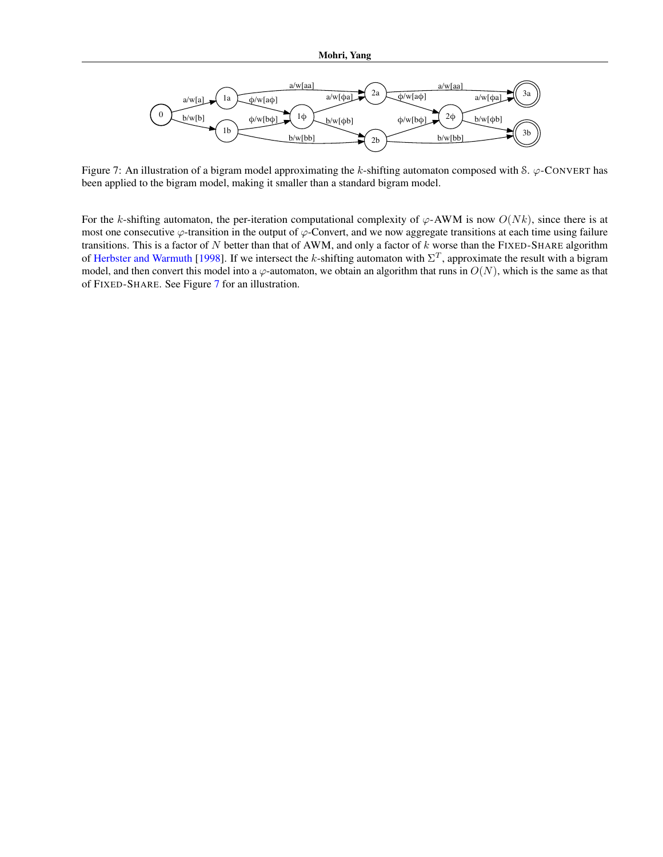

Figure 7: An illustration of a bigram model approximating the k-shifting automaton composed with S.  $\varphi$ -CONVERT has been applied to the bigram model, making it smaller than a standard bigram model.

For the k-shifting automaton, the per-iteration computational complexity of  $\varphi$ -AWM is now  $O(Nk)$ , since there is at most one consecutive  $\varphi$ -transition in the output of  $\varphi$ -Convert, and we now aggregate transitions at each time using failure transitions. This is a factor of  $N$  better than that of AWM, and only a factor of  $k$  worse than the FIXED-SHARE algorithm of Herbster and Warmuth [1998]. If we intersect the k-shifting automaton with  $\Sigma^T$ , approximate the result with a bigram model, and then convert this model into a  $\varphi$ -automaton, we obtain an algorithm that runs in  $O(N)$ , which is the same as that of FIXED-SHARE. See Figure 7 for an illustration.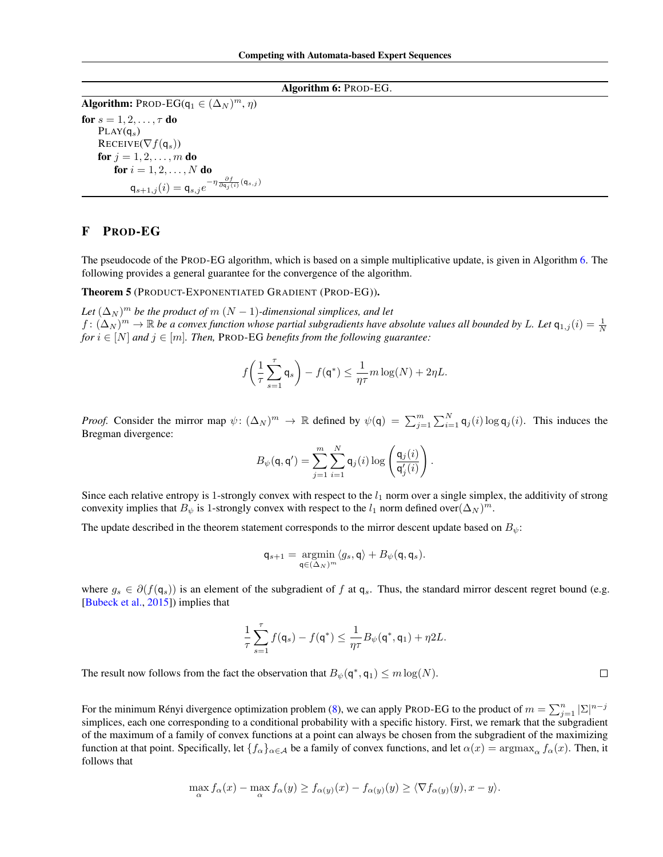Algorithm 6: PROD-EG.

**Algorithm:** PROD-EG( $q_1 \in (\Delta_N)^m$ ,  $\eta$ ) for  $s = 1, 2, \ldots, \tau$  do  $PLAY(q_s)$  $RECEIVE(\nabla f(\mathsf{q}_s))$ **for**  $j = 1, 2, ..., m$  **do** for  $i = 1, 2, ..., N$  do  $\mathsf{q}_{s+1,j}(i) = \mathsf{q}_{s,j} e^{-\eta \frac{\partial f}{\partial \mathsf{q}_j(i)}(\mathsf{q}_{s,j})}$ 

# F PROD-EG

The pseudocode of the PROD-EG algorithm, which is based on a simple multiplicative update, is given in Algorithm 6. The following provides a general guarantee for the convergence of the algorithm.

Theorem 5 (PRODUCT-EXPONENTIATED GRADIENT (PROD-EG)).

Let  $(\Delta_N)^m$  be the product of  $m(N-1)$ -dimensional simplices, and let  $f: (\Delta_N)^m \to \mathbb{R}$  be a convex function whose partial subgradients have absolute values all bounded by L. Let  $q_{1,j}(i) = \frac{1}{N}$ *for*  $i \in [N]$  *and*  $j \in [m]$ *. Then,* PROD-EG *benefits from the following guarantee:* 

$$
f\left(\frac{1}{\tau}\sum_{s=1}^{\tau}\mathsf{q}_{s}\right)-f(\mathsf{q}^*)\leq \frac{1}{\eta\tau}m\log(N)+2\eta L.
$$

*Proof.* Consider the mirror map  $\psi: (\Delta_N)^m \to \mathbb{R}$  defined by  $\psi(\mathsf{q}) = \sum_{j=1}^m \sum_{i=1}^N \mathsf{q}_j(i) \log \mathsf{q}_j(i)$ . This induces the Bregman divergence:

$$
B_{\psi}(\mathbf{q},\mathbf{q}') = \sum_{j=1}^{m} \sum_{i=1}^{N} \mathbf{q}_{j}(i) \log \left( \frac{\mathbf{q}_{j}(i)}{\mathbf{q}'_{j}(i)} \right).
$$

Since each relative entropy is 1-strongly convex with respect to the  $l_1$  norm over a single simplex, the additivity of strong convexity implies that  $B_{\psi}$  is 1-strongly convex with respect to the  $l_1$  norm defined over $(\Delta_N)^m$ .

The update described in the theorem statement corresponds to the mirror descent update based on  $B_{\psi}$ :

$$
\mathsf{q}_{s+1} = \operatorname*{argmin}_{\mathsf{q} \in (\Delta_N)^m} \langle g_s, \mathsf{q} \rangle + B_{\psi}(\mathsf{q}, \mathsf{q}_s).
$$

where  $g_s \in \partial (f(q_s))$  is an element of the subgradient of f at  $q_s$ . Thus, the standard mirror descent regret bound (e.g. [Bubeck et al., 2015]) implies that

$$
\frac{1}{\tau}\sum_{s=1}^\tau f(\mathbf{q}_s)-f(\mathbf{q}^*)\leq \frac{1}{\eta\tau}B_\psi(\mathbf{q}^*,\mathbf{q}_1)+\eta 2L.
$$

 $\Box$ 

The result now follows from the fact the observation that  $B_{\psi}(\mathsf{q}^*, \mathsf{q}_1) \leq m \log(N)$ .

For the minimum Rényi divergence optimization problem (8), we can apply PROD-EG to the product of  $m = \sum_{j=1}^{n} |\Sigma|^{n-j}$ simplices, each one corresponding to a conditional probability with a specific history. First, we remark that the subgradient of the maximum of a family of convex functions at a point can always be chosen from the subgradient of the maximizing function at that point. Specifically, let  $\{f_\alpha\}_{\alpha \in A}$  be a family of convex functions, and let  $\alpha(x) = \text{argmax}_{\alpha} f_\alpha(x)$ . Then, it follows that

$$
\max_{\alpha} f_{\alpha}(x) - \max_{\alpha} f_{\alpha}(y) \ge f_{\alpha(y)}(x) - f_{\alpha(y)}(y) \ge \langle \nabla f_{\alpha(y)}(y), x - y \rangle.
$$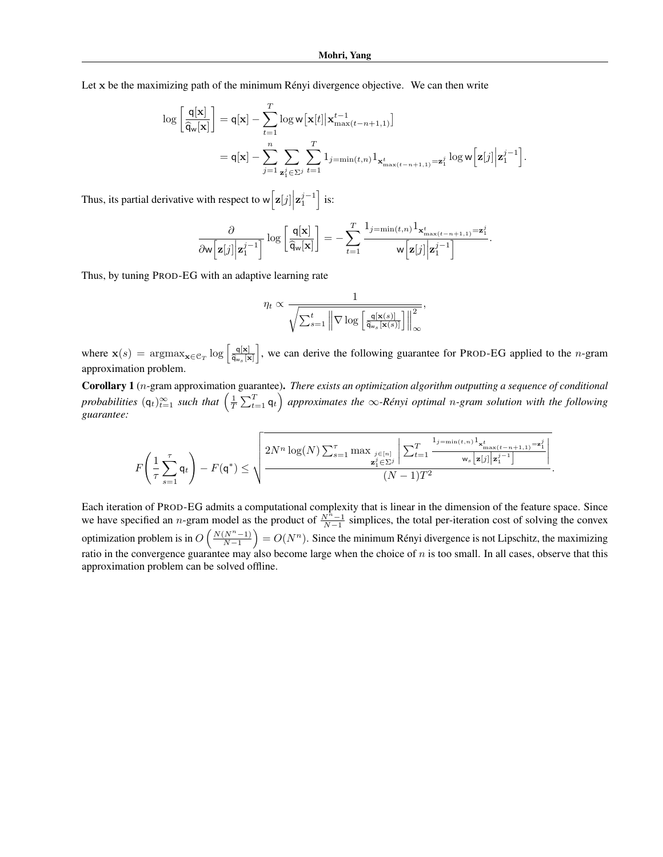Let x be the maximizing path of the minimum Rényi divergence objective. We can then write

$$
\log\left[\frac{\mathbf{q}[\mathbf{x}]}{\hat{\mathbf{q}}_{\mathbf{w}}[\mathbf{x}]}\right] = \mathbf{q}[\mathbf{x}] - \sum_{t=1}^{T} \log \mathbf{w} \big[\mathbf{x}[t] \big| \mathbf{x}_{\max(t-n+1,1)}^{t-1}\big]
$$
  
=  $\mathbf{q}[\mathbf{x}] - \sum_{j=1}^{n} \sum_{\mathbf{z}_{1}^{j} \in \Sigma^{j}} \sum_{t=1}^{T} 1_{j = \min(t,n)} 1_{\mathbf{x}_{\max(t-n+1,1)}^{t} = \mathbf{z}_{1}^{j}} \log \mathbf{w} \big[\mathbf{z}[j] \big| \mathbf{z}_{1}^{j-1}\big].$ 

Thus, its partial derivative with respect to  $w\left[\mathbf{z}[j]\middle|\mathbf{z}_1^{j-1}\right]$  is:

$$
\frac{\partial}{\partial \mathbf{w}\Big[\mathbf{z}[j]\Big|\mathbf{z}_1^{j-1}\Big]}\log\bigg[\frac{\mathbf{q}[\mathbf{x}]}{\widehat{\mathbf{q}}\mathbf{w}[\mathbf{x}]}\bigg]=-\sum_{t=1}^T\frac{\mathbf{1}_{j=\min(t,n)}\mathbf{1}_{\mathbf{x}_{\max(t-n+1,1)}^t=\mathbf{z}_1^j}}{\mathbf{w}\Big[\mathbf{z}[j]\Big|\mathbf{z}_1^{j-1}\Big]}.
$$

Thus, by tuning PROD-EG with an adaptive learning rate

$$
\eta_t \propto \frac{1}{\sqrt{\sum_{s=1}^t \left\| \nabla \log \left[ \frac{\mathbf{q}(\mathbf{x}(s))}{\widehat{\mathbf{q}}_{w_s}[\mathbf{x}(s)]} \right] \right\|_{\infty}^2}},
$$

where  $\mathbf{x}(s) = \operatorname{argmax}_{\mathbf{x} \in \mathcal{C}_T} \log \left[ \frac{\mathfrak{q}[\mathbf{x}]}{\hat{\mathfrak{q}}_{w_s}[\mathbf{x}]} \right]$ , we can derive the following guarantee for PROD-EG applied to the *n*-gram approximation problem.

Corollary 1 (n-gram approximation guarantee). *There exists an optimization algorithm outputting a sequence of conditional*  $p$ robabilities  $(q_t)_{t=1}^\infty$  such that  $\left(\frac{1}{T}\sum_{t=1}^T q_t\right)$  approximates the  $\infty$ *-Rényi optimal* n-gram solution with the following *guarantee:*

$$
F\Bigg(\frac{1}{\tau}\sum_{s=1}^{\tau}\mathsf{q}_t\Bigg)-F(\mathsf{q}^*)\leq \sqrt{\frac{2N^n\log(N)\sum_{s=1}^{\tau}\max_{j\in [n]}\left|\sum_{t=1}^T\frac{\mathbf{1}_{j=\min(t,n)}\mathbf{1}_{\mathbf{x}^t_{\max(t-n+1,1)}=\mathbf{x}^j_1}{\mathbf{w}_s\left[\mathbf{z}[j]\Big|\mathbf{z}_1^{j-1}\right]}\right|}{(N-1)T^2}}.
$$

Each iteration of PROD-EG admits a computational complexity that is linear in the dimension of the feature space. Since we have specified an *n*-gram model as the product of  $\frac{N^h-1}{N-1}$  simplices, the total per-iteration cost of solving the convex optimization problem is in  $O\left(\frac{N(N^{n}-1)}{N-1}\right)$  $N-1$  $\mathbf{Q} = O(N^n)$ . Since the minimum Rényi divergence is not Lipschitz, the maximizing ratio in the convergence guarantee may also become large when the choice of  $n$  is too small. In all cases, observe that this approximation problem can be solved offline.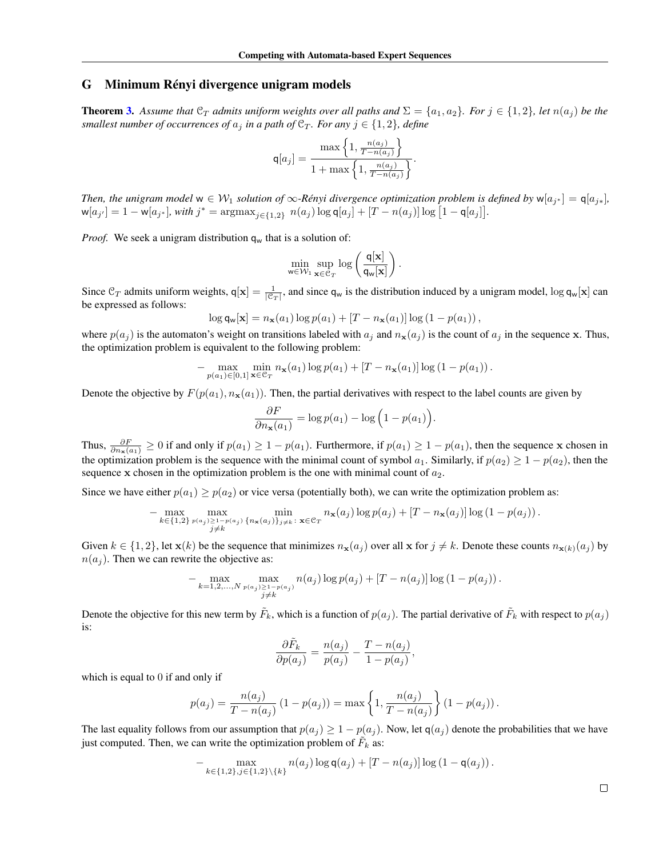# G Minimum Rényi divergence unigram models

**Theorem 3.** Assume that  $\mathcal{C}_T$  admits uniform weights over all paths and  $\Sigma = \{a_1, a_2\}$ . For  $j \in \{1, 2\}$ , let  $n(a_i)$  be the *smallest number of occurrences of*  $a_j$  *in a path of*  $\mathcal{C}_T$ *. For any*  $j \in \{1, 2\}$ *, define* 

$$
\mathbf{q}[a_j]=\frac{\max\left\{1,\frac{n(a_j)}{T-n(a_j)}\right\}}{1+\max\left\{1,\frac{n(a_j)}{T-n(a_j)}\right\}}.
$$

*Then, the unigram model*  $w \in W_1$  *solution of*  $\infty$ *-Rényi divergence optimization problem is defined by*  $w[a_{i^*}] = q[a_{i^*}]$ *,*  $w[a_{j'}] = 1 - w[a_{j^*}],$  with  $j^* = \text{argmax}_{j \in \{1,2\}} n(a_j) \log q[a_j] + [T - n(a_j)] \log [1 - q[a_j]].$ 

*Proof.* We seek a unigram distribution  $q_w$  that is a solution of:

$$
\min_{w \in \mathcal{W}_1} \sup_{\mathbf{x} \in \mathcal{C}_T} \log \left( \frac{q[\mathbf{x}]}{q_w[\mathbf{x}]} \right).
$$

Since  $\mathcal{C}_T$  admits uniform weights,  $q[\mathbf{x}] = \frac{1}{|\mathcal{C}_T|}$ , and since  $q_w$  is the distribution induced by a unigram model,  $\log q_w[\mathbf{x}]$  can be expressed as follows:

$$
\log \mathsf{q}_{\mathsf{w}}[\mathbf{x}] = n_{\mathbf{x}}(a_1) \log p(a_1) + [T - n_{\mathbf{x}}(a_1)] \log (1 - p(a_1)),
$$

where  $p(a_j)$  is the automaton's weight on transitions labeled with  $a_j$  and  $n_x(a_j)$  is the count of  $a_j$  in the sequence x. Thus, the optimization problem is equivalent to the following problem:

$$
-\max_{p(a_1)\in[0,1]}\min_{\mathbf{x}\in\mathcal{C}_T}n_{\mathbf{x}}(a_1)\log p(a_1)+[T-n_{\mathbf{x}}(a_1)]\log(1-p(a_1)).
$$

Denote the objective by  $F(p(a_1), n_x(a_1))$ . Then, the partial derivatives with respect to the label counts are given by

$$
\frac{\partial F}{\partial n_{\mathbf{x}}(a_1)} = \log p(a_1) - \log \Big(1 - p(a_1)\Big).
$$

Thus,  $\frac{\partial F}{\partial n_{\mathbf{x}}(a_1)} \ge 0$  if and only if  $p(a_1) \ge 1 - p(a_1)$ . Furthermore, if  $p(a_1) \ge 1 - p(a_1)$ , then the sequence x chosen in the optimization problem is the sequence with the minimal count of symbol  $a_1$ . Similarly, if  $p(a_2) \ge 1 - p(a_2)$ , then the sequence x chosen in the optimization problem is the one with minimal count of  $a_2$ .

Since we have either  $p(a_1) \geq p(a_2)$  or vice versa (potentially both), we can write the optimization problem as:

$$
-\max_{k\in\{1,2\}}\max_{\substack{p(a_j)\geq 1-p(a_j)\\j\neq k}}\min_{\{n_{\mathbf{x}}(a_j)\}_{j\neq k}}\max_{\mathbf{x}\in\mathcal{C}_T}n_{\mathbf{x}}(a_j)\log p(a_j)+[T-n_{\mathbf{x}}(a_j)]\log(1-p(a_j))\,.
$$

Given  $k \in \{1,2\}$ , let  $\mathbf{x}(k)$  be the sequence that minimizes  $n_{\mathbf{x}}(a_j)$  over all x for  $j \neq k$ . Denote these counts  $n_{\mathbf{x}(k)}(a_j)$  by  $n(a_i)$ . Then we can rewrite the objective as:

$$
-\max_{k=1,2,...,N} \max_{\substack{p(a_j)\geq 1-p(a_j)\\j\neq k}} n(a_j) \log p(a_j) + [T - n(a_j)] \log (1-p(a_j)).
$$

Denote the objective for this new term by  $\tilde{F}_k$ , which is a function of  $p(a_i)$ . The partial derivative of  $\tilde{F}_k$  with respect to  $p(a_i)$ is:

$$
\frac{\partial \tilde{F}_k}{\partial p(a_j)} = \frac{n(a_j)}{p(a_j)} - \frac{T - n(a_j)}{1 - p(a_j)},
$$

which is equal to 0 if and only if

$$
p(a_j) = \frac{n(a_j)}{T - n(a_j)} (1 - p(a_j)) = \max \left\{ 1, \frac{n(a_j)}{T - n(a_j)} \right\} (1 - p(a_j)).
$$

The last equality follows from our assumption that  $p(a_j) \geq 1 - p(a_j)$ . Now, let  $q(a_j)$  denote the probabilities that we have just computed. Then, we can write the optimization problem of  $F_k$  as:

$$
-\max_{k\in\{1,2\},j\in\{1,2\}\setminus\{k\}} n(a_j)\log q(a_j)+[T-n(a_j)]\log(1-q(a_j)).
$$

 $\Box$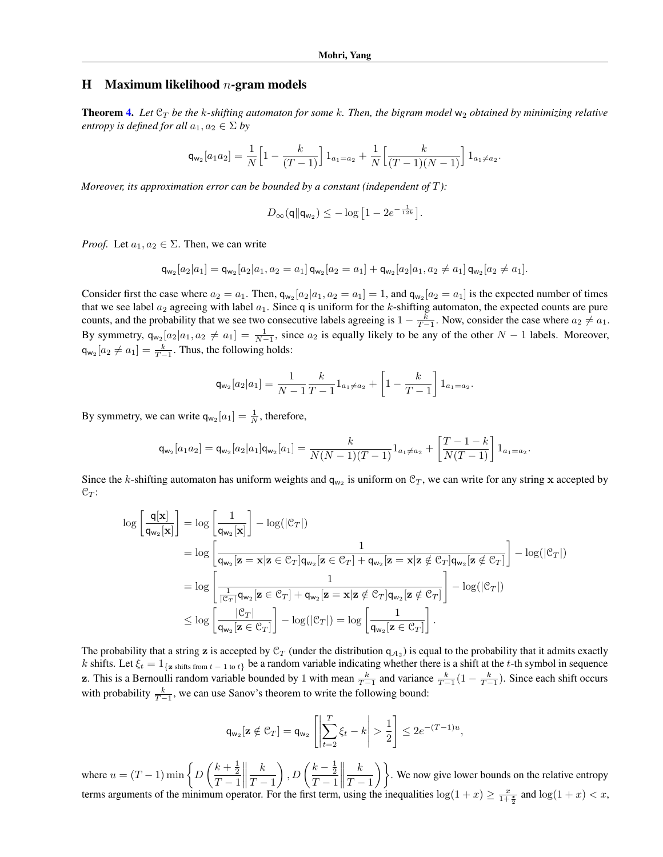### $H$  Maximum likelihood *n*-gram models

**Theorem 4.** Let  $C_T$  be the k-shifting automaton for some k. Then, the bigram model  $w_2$  obtained by minimizing relative *entropy is defined for all*  $a_1, a_2 \in \Sigma$  *by* 

$$
\mathsf{q}_{\mathsf{w}_2}[a_1a_2] = \frac{1}{N} \Big[ 1 - \frac{k}{(T-1)} \Big] \, 1_{a_1 = a_2} + \frac{1}{N} \Big[ \frac{k}{(T-1)(N-1)} \Big] \, 1_{a_1 \neq a_2}.
$$

*Moreover, its approximation error can be bounded by a constant (independent of* T*):*

$$
D_{\infty}(\mathbf{q}||\mathbf{q}_{w_2}) \leq -\log\left[1-2e^{-\frac{1}{12k}}\right].
$$

*Proof.* Let  $a_1, a_2 \in \Sigma$ . Then, we can write

$$
\mathsf{q}_{\mathsf{w}_2}[a_2|a_1] = \mathsf{q}_{\mathsf{w}_2}[a_2|a_1, a_2 = a_1] \mathsf{q}_{\mathsf{w}_2}[a_2 = a_1] + \mathsf{q}_{\mathsf{w}_2}[a_2|a_1, a_2 \neq a_1] \mathsf{q}_{\mathsf{w}_2}[a_2 \neq a_1].
$$

Consider first the case where  $a_2 = a_1$ . Then,  $\mathfrak{q}_{w_2}[a_2|a_1, a_2 = a_1] = 1$ , and  $\mathfrak{q}_{w_2}[a_2 = a_1]$  is the expected number of times that we see label  $a_2$  agreeing with label  $a_1$ . Since q is uniform for the k-shifting automaton, the expected counts are pure counts, and the probability that we see two consecutive labels agreeing is  $1 - \frac{k}{T-1}$ . Now, consider the case where  $a_2 \neq a_1$ . By symmetry,  $q_{w_2}[a_2|a_1, a_2 \neq a_1] = \frac{1}{N-1}$ , since  $a_2$  is equally likely to be any of the other  $N-1$  labels. Moreover,  $\mathsf{q}_{\mathsf{w}_2}[a_2 \neq a_1] = \frac{k}{T-1}$ . Thus, the following holds:

$$
\mathsf{q}_{\mathsf{w}_2}[a_2|a_1] = \frac{1}{N-1} \frac{k}{T-1} 1_{a_1 \neq a_2} + \left[1 - \frac{k}{T-1}\right] 1_{a_1 = a_2}.
$$

By symmetry, we can write  $q_{w_2}[a_1] = \frac{1}{N}$ , therefore,

$$
\mathsf{q}_{\mathsf{w}_2}[a_1a_2] = \mathsf{q}_{\mathsf{w}_2}[a_2]a_1]\mathsf{q}_{\mathsf{w}_2}[a_1] = \frac{k}{N(N-1)(T-1)}1_{a_1 \neq a_2} + \left[\frac{T-1-k}{N(T-1)}\right]1_{a_1 = a_2}.
$$

Since the k-shifting automaton has uniform weights and  $q_{w_2}$  is uniform on  $\mathcal{C}_T$ , we can write for any string x accepted by  $\mathfrak{C}_T$ :

$$
\log\left[\frac{q[\mathbf{x}]}{q_{w_2}[\mathbf{x}]}\right] = \log\left[\frac{1}{q_{w_2}[\mathbf{x}]}\right] - \log(|\mathcal{C}_T|)
$$
  
\n
$$
= \log\left[\frac{1}{q_{w_2}[\mathbf{z} = \mathbf{x}|\mathbf{z} \in \mathcal{C}_T]q_{w_2}[\mathbf{z} \in \mathcal{C}_T] + q_{w_2}[\mathbf{z} = \mathbf{x}|\mathbf{z} \notin \mathcal{C}_T]q_{w_2}[\mathbf{z} \notin \mathcal{C}_T]}\right] - \log(|\mathcal{C}_T|)
$$
  
\n
$$
= \log\left[\frac{1}{\frac{1}{|\mathcal{C}_T|}q_{w_2}[\mathbf{z} \in \mathcal{C}_T] + q_{w_2}[\mathbf{z} = \mathbf{x}|\mathbf{z} \notin \mathcal{C}_T]q_{w_2}[\mathbf{z} \notin \mathcal{C}_T]}\right] - \log(|\mathcal{C}_T|)
$$
  
\n
$$
\leq \log\left[\frac{|\mathcal{C}_T|}{q_{w_2}[\mathbf{z} \in \mathcal{C}_T]}\right] - \log(|\mathcal{C}_T|) = \log\left[\frac{1}{q_{w_2}[\mathbf{z} \in \mathcal{C}_T]}\right].
$$

The probability that a string z is accepted by  $\mathcal{C}_T$  (under the distribution  $q_{A_2}$ ) is equal to the probability that it admits exactly k shifts. Let  $\xi_t = 1_{\{\mathbf{z} \text{ shifts from } t-1 \text{ to } t\}}$  be a random variable indicating whether there is a shift at the t-th symbol in sequence **z**. This is a Bernoulli random variable bounded by 1 with mean  $\frac{k}{T-1}$  and variance  $\frac{k}{T-1}(1-\frac{k}{T-1})$ . Since each shift occurs with probability  $\frac{k}{T-1}$ , we can use Sanov's theorem to write the following bound:

$$
\mathsf{q}_{w_2}[\mathbf{z} \notin \mathbb{C}_T] = \mathsf{q}_{w_2} \left[ \left| \sum_{t=2}^T \xi_t - k \right| > \frac{1}{2} \right] \leq 2e^{-(T-1)u},
$$

where  $u = (T - 1) \min \left\{ D \left( \frac{k + \frac{1}{2}}{T - 1} \right) \right\}$  $T-1$ � � � � k  $T-1$  $\bigg), D\left(\frac{k-\frac{1}{2}}{B-1}\right)$  $T-1$ � � � � k  $T-1$  $\}$ . We now give lower bounds on the relative entropy terms arguments of the minimum operator. For the first term, using the inequalities  $\log(1+x) \ge \frac{x}{1+\frac{x}{2}}$  and  $\log(1+x) < x$ ,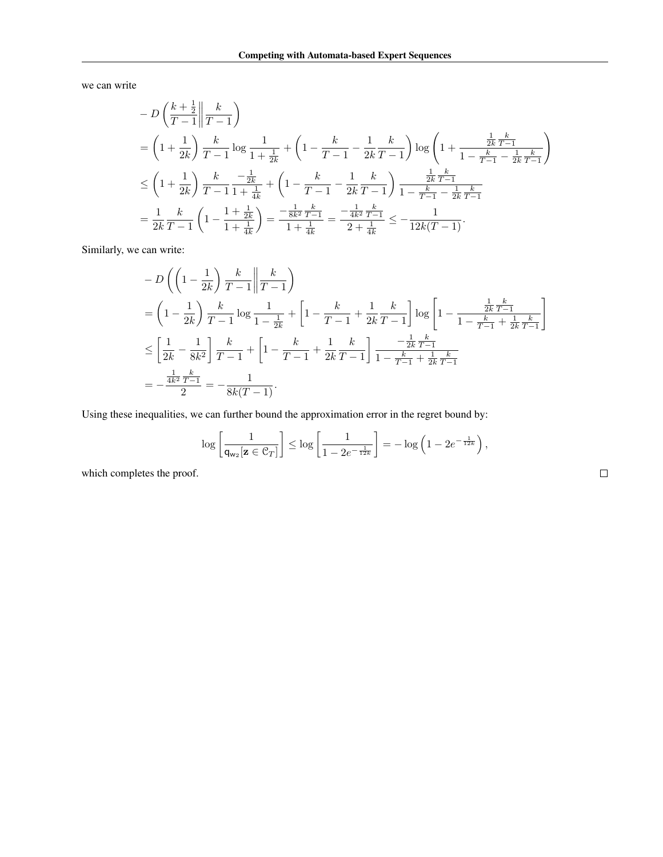we can write

$$
-D\left(\frac{k+\frac{1}{2}}{T-1}\middle|\frac{k}{T-1}\right)
$$
  
=  $\left(1+\frac{1}{2k}\right)\frac{k}{T-1}\log\frac{1}{1+\frac{1}{2k}} + \left(1-\frac{k}{T-1}-\frac{1}{2k}\frac{k}{T-1}\right)\log\left(1+\frac{\frac{1}{2k}\frac{k}{T-1}}{1-\frac{k}{T-1}-\frac{1}{2k}\frac{k}{T-1}}\right)$   

$$
\leq \left(1+\frac{1}{2k}\right)\frac{k}{T-1}\frac{-\frac{1}{2k}}{1+\frac{1}{4k}} + \left(1-\frac{k}{T-1}-\frac{1}{2k}\frac{k}{T-1}\right)\frac{\frac{1}{2k}\frac{k}{T-1}}{1-\frac{k}{T-1}-\frac{1}{2k}\frac{k}{T-1}}
$$
  
=  $\frac{1}{2k}\frac{k}{T-1}\left(1-\frac{1+\frac{1}{2k}}{1+\frac{1}{4k}}\right) = \frac{-\frac{1}{8k^2}\frac{k}{T-1}}{1+\frac{1}{4k}} = \frac{-\frac{1}{4k^2}\frac{k}{T-1}}{2+\frac{1}{4k}} \leq -\frac{1}{12k(T-1)}.$ 

Similarly, we can write:

$$
- D \left( \left( 1 - \frac{1}{2k} \right) \frac{k}{T - 1} \middle\| \frac{k}{T - 1} \right)
$$
  
=  $\left( 1 - \frac{1}{2k} \right) \frac{k}{T - 1} \log \frac{1}{1 - \frac{1}{2k}} + \left[ 1 - \frac{k}{T - 1} + \frac{1}{2k} \frac{k}{T - 1} \right] \log \left[ 1 - \frac{\frac{1}{2k} \frac{k}{T - 1}}{1 - \frac{k}{T - 1} + \frac{1}{2k} \frac{k}{T - 1}} \right]$   

$$
\leq \left[ \frac{1}{2k} - \frac{1}{8k^2} \right] \frac{k}{T - 1} + \left[ 1 - \frac{k}{T - 1} + \frac{1}{2k} \frac{k}{T - 1} \right] \frac{-\frac{1}{2k} \frac{k}{T - 1}}{1 - \frac{k}{T - 1} + \frac{1}{2k} \frac{k}{T - 1}}
$$
  
=  $-\frac{\frac{1}{4k^2} \frac{k}{T - 1}}{2} = -\frac{1}{8k(T - 1)}.$ 

Using these inequalities, we can further bound the approximation error in the regret bound by:

$$
\log\left[\frac{1}{\mathsf{q}_{\mathsf{w}_2}[\mathbf{z}\in\mathcal{C}_T]}\right] \leq \log\left[\frac{1}{1-2e^{-\frac{1}{12k}}}\right] = -\log\left(1-2e^{-\frac{1}{12k}}\right),
$$

which completes the proof.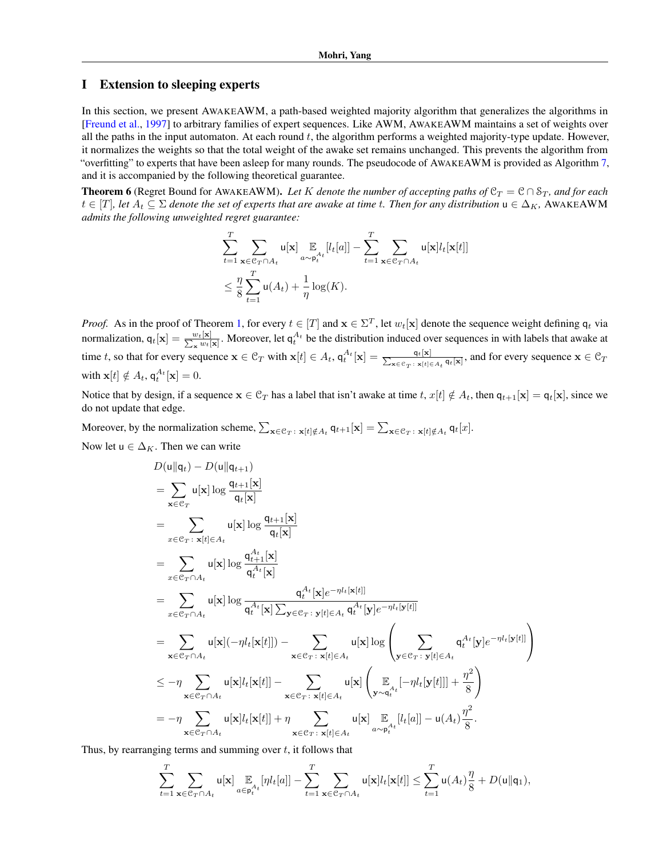# I Extension to sleeping experts

In this section, we present AWAKEAWM, a path-based weighted majority algorithm that generalizes the algorithms in [Freund et al., 1997] to arbitrary families of expert sequences. Like AWM, AWAKEAWM maintains a set of weights over all the paths in the input automaton. At each round  $t$ , the algorithm performs a weighted majority-type update. However, it normalizes the weights so that the total weight of the awake set remains unchanged. This prevents the algorithm from "overfitting" to experts that have been asleep for many rounds. The pseudocode of AWAKEAWM is provided as Algorithm 7, and it is accompanied by the following theoretical guarantee.

**Theorem 6** (Regret Bound for AWAKEAWM). Let K denote the number of accepting paths of  $\mathcal{C}_T = \mathcal{C} \cap \mathcal{S}_T$ , and for each  $t \in [T]$ , let  $A_t \subseteq \Sigma$  denote the set of experts that are awake at time t. Then for any distribution  $u \in \Delta_K$ , AWAKEAWM *admits the following unweighted regret guarantee:*

$$
\sum_{t=1}^{T} \sum_{\mathbf{x} \in \mathcal{C}_T \cap A_t} \mathbf{u}[\mathbf{x}] \mathop{\mathbb{E}}_{a \sim \mathbf{p}_t^A} [l_t[a]] - \sum_{t=1}^{T} \sum_{\mathbf{x} \in \mathcal{C}_T \cap A_t} \mathbf{u}[\mathbf{x}] l_t[\mathbf{x}[t]]
$$
  

$$
\leq \frac{\eta}{8} \sum_{t=1}^{T} \mathbf{u}(A_t) + \frac{1}{\eta} \log(K).
$$

*Proof.* As in the proof of Theorem 1, for every  $t \in [T]$  and  $\mathbf{x} \in \Sigma^{T}$ , let  $w_t[\mathbf{x}]$  denote the sequence weight defining  $q_t$  via normalization,  $q_t[\mathbf{x}] = \frac{w_t[\mathbf{x}]}{\sum_{\mathbf{x}} w_t[\mathbf{x}]}$ . Moreover, let  $q_t^{A_t}$  be the distribution induced over sequences in with labels that awake at time t, so that for every sequence  $\mathbf{x} \in \mathcal{C}_T$  with  $\mathbf{x}[t] \in A_t$ ,  $\mathbf{q}_t^{A_t}[\mathbf{x}] = \frac{\mathbf{q}_t[\mathbf{x}]}{\sum_{\mathbf{x} \in \mathcal{C}_T \colon \mathbf{x}[t] \in A_t} \mathbf{q}_t[\mathbf{x}]}$ , and for every sequence  $\mathbf{x} \in \mathcal{C}_T$ with  $\mathbf{x}[t] \notin A_t$ ,  $q_t^{A_t}[\mathbf{x}] = 0$ .

Notice that by design, if a sequence  $x \in \mathcal{C}_T$  has a label that isn't awake at time  $t$ ,  $x[t] \notin A_t$ , then  $q_{t+1}[x] = q_t[x]$ , since we do not update that edge.

Moreover, by the normalization scheme,  $\sum_{\mathbf{x} \in \mathcal{C}_T \colon \mathbf{x}[t] \notin A_t} \mathbf{q}_{t+1}[\mathbf{x}] = \sum_{\mathbf{x} \in \mathcal{C}_T \colon \mathbf{x}[t] \notin A_t} \mathbf{q}_t[x]$ .

Now let  $u \in \Delta_K$ . Then we can write

$$
D(\mathbf{u}||\mathbf{q}_{t}) - D(\mathbf{u}||\mathbf{q}_{t+1})
$$
\n
$$
= \sum_{\mathbf{x} \in \mathcal{C}_{T}} \mathbf{u}[\mathbf{x}] \log \frac{\mathbf{q}_{t+1}[\mathbf{x}]}{\mathbf{q}_{t}[\mathbf{x}]}
$$
\n
$$
= \sum_{x \in \mathcal{C}_{T}: \mathbf{x}[t] \in A_{t}} \mathbf{u}[\mathbf{x}] \log \frac{\mathbf{q}_{t+1}[\mathbf{x}]}{\mathbf{q}_{t}[\mathbf{x}]}
$$
\n
$$
= \sum_{x \in \mathcal{C}_{T} \cap A_{t}} \mathbf{u}[\mathbf{x}] \log \frac{\mathbf{q}_{t+1}^{A_{t}}[\mathbf{x}]}{\mathbf{q}_{t}^{A_{t}}[\mathbf{x}]}
$$
\n
$$
= \sum_{x \in \mathcal{C}_{T} \cap A_{t}} \mathbf{u}[\mathbf{x}] \log \frac{\mathbf{q}_{t+1}^{A_{t}}[\mathbf{x}]}{\mathbf{q}_{t}^{A_{t}}[\mathbf{x}] \sum_{\mathbf{y} \in \mathcal{C}_{T}: \mathbf{y}[t] \in A_{t}} \mathbf{q}_{t}^{A_{t}}[\mathbf{y}] e^{-\eta t_{t}[\mathbf{y}[t]]}
$$
\n
$$
= \sum_{\mathbf{x} \in \mathcal{C}_{T} \cap A_{t}} \mathbf{u}[\mathbf{x}] (-\eta t_{t}[\mathbf{x}[t]]) - \sum_{\mathbf{x} \in \mathcal{C}_{T}: \mathbf{x}[t] \in A_{t}} \mathbf{u}[\mathbf{x}] \log \left( \sum_{\mathbf{y} \in \mathcal{C}_{T}: \mathbf{y}[t] \in A_{t}} \mathbf{q}_{t}^{A_{t}}[\mathbf{y}] e^{-\eta t_{t}[\mathbf{y}[t]]} \right)
$$
\n
$$
\leq -\eta \sum_{\mathbf{x} \in \mathcal{C}_{T} \cap A_{t}} \mathbf{u}[\mathbf{x}] t_{t}[\mathbf{x}[t]] - \sum_{\mathbf{x} \in \mathcal{C}_{T}: \mathbf{x}[t] \in A_{t}} \mathbf{u}[\mathbf{x}] \left( \sum_{\mathbf{y} \sim \mathbf{q}_{t}^{A_{t}}} [-\eta t_{t}[\mathbf{y}[t]]] + \frac{\eta
$$

Thus, by rearranging terms and summing over  $t$ , it follows that

$$
\sum_{t=1}^T \sum_{\mathbf{x} \in \mathcal{C}_T \cap A_t} \mathbf{u}[\mathbf{x}] \mathop{\mathbb{E}}_{a \in \mathbf{p}_t^{A_t}} [\eta l_t[a]] - \sum_{t=1}^T \sum_{\mathbf{x} \in \mathcal{C}_T \cap A_t} \mathbf{u}[\mathbf{x}] l_t[\mathbf{x}[t]] \leq \sum_{t=1}^T \mathbf{u}(A_t) \frac{\eta}{8} + D(\mathbf{u} \| \mathbf{q}_1),
$$